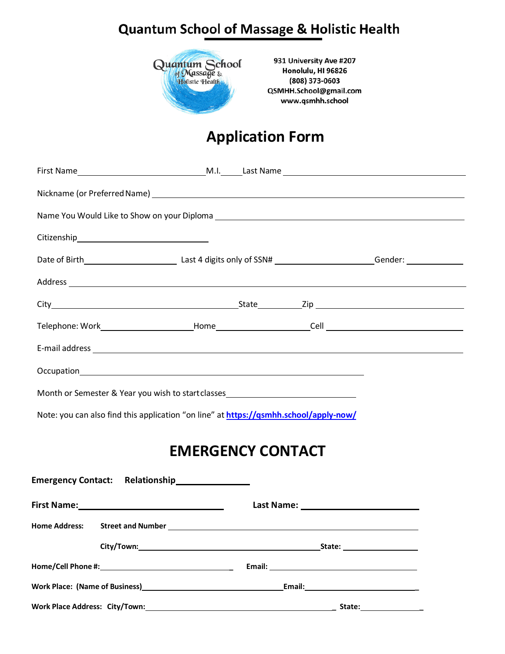## **Quantum School of Massage & Holistic Health**



931 University Ave #207 Honolulu, HI 96826 (808) 373-0603 QSMHH.School@gmail.com www.qsmhh.school

## **Application Form**

| Address experience and the contract of the contract of the contract of the contract of the contract of the contract of the contract of the contract of the contract of the contract of the contract of the contract of the con |  |  |  |  |  |
|--------------------------------------------------------------------------------------------------------------------------------------------------------------------------------------------------------------------------------|--|--|--|--|--|
|                                                                                                                                                                                                                                |  |  |  |  |  |
|                                                                                                                                                                                                                                |  |  |  |  |  |
|                                                                                                                                                                                                                                |  |  |  |  |  |
|                                                                                                                                                                                                                                |  |  |  |  |  |
| Month or Semester & Year you wish to start classes______________________________                                                                                                                                               |  |  |  |  |  |
| Note: you can also find this application "on line" at https://qsmhh.school/apply-now/                                                                                                                                          |  |  |  |  |  |
| ENAEDCENICY CONITACT                                                                                                                                                                                                           |  |  |  |  |  |

## **EMERGENCY CONTACT**

| Emergency Contact: Relationship<br><u>Emergency Contact: Relationship</u> |                                                                  |                                           |  |  |
|---------------------------------------------------------------------------|------------------------------------------------------------------|-------------------------------------------|--|--|
|                                                                           |                                                                  | Last Name: ______________________________ |  |  |
|                                                                           |                                                                  |                                           |  |  |
|                                                                           |                                                                  |                                           |  |  |
|                                                                           |                                                                  |                                           |  |  |
|                                                                           | Work Place: (Name of Business)<br>Mork Place: (Name of Business) |                                           |  |  |
|                                                                           |                                                                  | State:__________________                  |  |  |